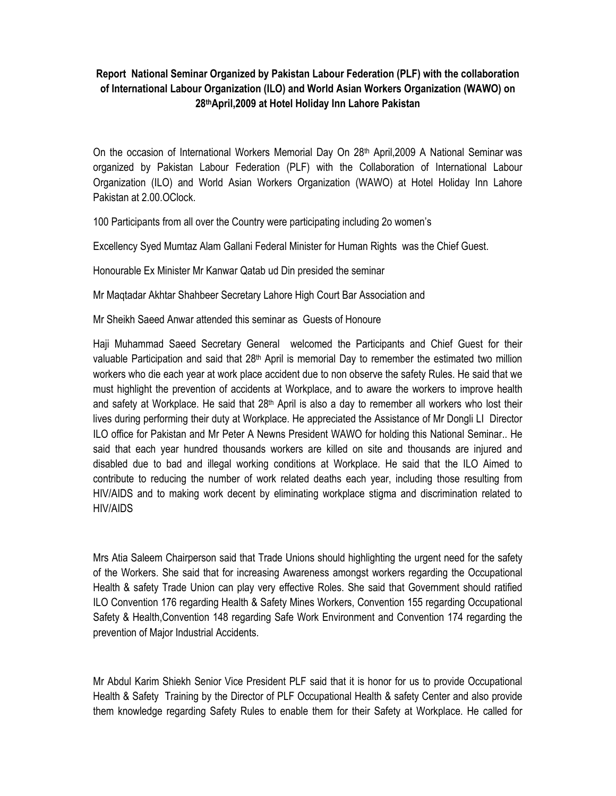## **Report National Seminar Organized by Pakistan Labour Federation (PLF) with the collaboration of International Labour Organization (ILO) and World Asian Workers Organization (WAWO) on 28thApril,2009 at Hotel Holiday Inn Lahore Pakistan**

On the occasion of International Workers Memorial Day On 28<sup>th</sup> April, 2009 A National Seminar was organized by Pakistan Labour Federation (PLF) with the Collaboration of International Labour Organization (ILO) and World Asian Workers Organization (WAWO) at Hotel Holiday Inn Lahore Pakistan at 2.00.OClock.

100 Participants from all over the Country were participating including 2o women's

Excellency Syed Mumtaz Alam Gallani Federal Minister for Human Rights was the Chief Guest.

Honourable Ex Minister Mr Kanwar Qatab ud Din presided the seminar

Mr Maqtadar Akhtar Shahbeer Secretary Lahore High Court Bar Association and

Mr Sheikh Saeed Anwar attended this seminar as Guests of Honoure

Haji Muhammad Saeed Secretary General welcomed the Participants and Chief Guest for their valuable Participation and said that 28<sup>th</sup> April is memorial Day to remember the estimated two million workers who die each year at work place accident due to non observe the safety Rules. He said that we must highlight the prevention of accidents at Workplace, and to aware the workers to improve health and safety at Workplace. He said that 28th April is also a day to remember all workers who lost their lives during performing their duty at Workplace. He appreciated the Assistance of Mr Dongli LI Director ILO office for Pakistan and Mr Peter A Newns President WAWO for holding this National Seminar.. He said that each year hundred thousands workers are killed on site and thousands are injured and disabled due to bad and illegal working conditions at Workplace. He said that the ILO Aimed to contribute to reducing the number of work related deaths each year, including those resulting from HIV/AIDS and to making work decent by eliminating workplace stigma and discrimination related to HIV/AIDS

Mrs Atia Saleem Chairperson said that Trade Unions should highlighting the urgent need for the safety of the Workers. She said that for increasing Awareness amongst workers regarding the Occupational Health & safety Trade Union can play very effective Roles. She said that Government should ratified ILO Convention 176 regarding Health & Safety Mines Workers, Convention 155 regarding Occupational Safety & Health,Convention 148 regarding Safe Work Environment and Convention 174 regarding the prevention of Major Industrial Accidents.

Mr Abdul Karim Shiekh Senior Vice President PLF said that it is honor for us to provide Occupational Health & Safety Training by the Director of PLF Occupational Health & safety Center and also provide them knowledge regarding Safety Rules to enable them for their Safety at Workplace. He called for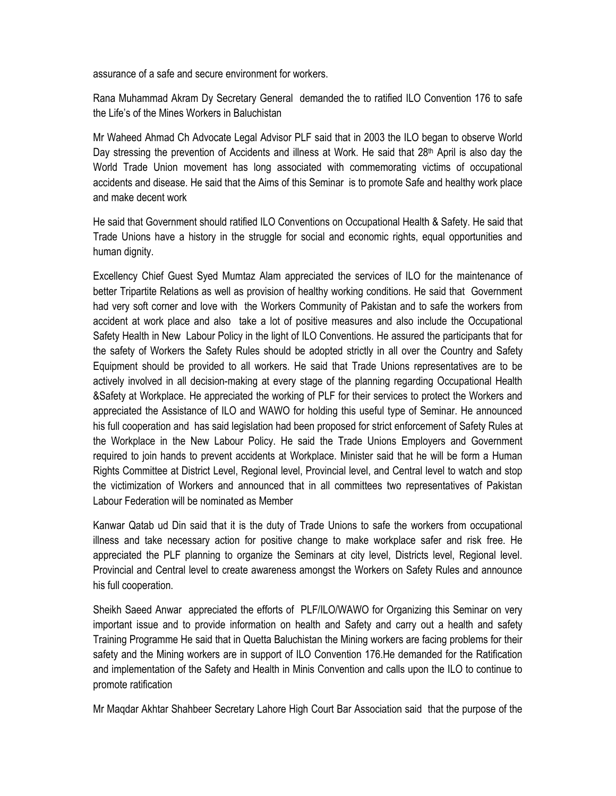assurance of a safe and secure environment for workers.

Rana Muhammad Akram Dy Secretary General demanded the to ratified ILO Convention 176 to safe the Life's of the Mines Workers in Baluchistan

Mr Waheed Ahmad Ch Advocate Legal Advisor PLF said that in 2003 the ILO began to observe World Day stressing the prevention of Accidents and illness at Work. He said that 28<sup>th</sup> April is also day the World Trade Union movement has long associated with commemorating victims of occupational accidents and disease. He said that the Aims of this Seminar is to promote Safe and healthy work place and make decent work

He said that Government should ratified ILO Conventions on Occupational Health & Safety. He said that Trade Unions have a history in the struggle for social and economic rights, equal opportunities and human dignity.

Excellency Chief Guest Syed Mumtaz Alam appreciated the services of ILO for the maintenance of better Tripartite Relations as well as provision of healthy working conditions. He said that Government had very soft corner and love with the Workers Community of Pakistan and to safe the workers from accident at work place and also take a lot of positive measures and also include the Occupational Safety Health in New Labour Policy in the light of ILO Conventions. He assured the participants that for the safety of Workers the Safety Rules should be adopted strictly in all over the Country and Safety Equipment should be provided to all workers. He said that Trade Unions representatives are to be actively involved in all decision-making at every stage of the planning regarding Occupational Health &Safety at Workplace. He appreciated the working of PLF for their services to protect the Workers and appreciated the Assistance of ILO and WAWO for holding this useful type of Seminar. He announced his full cooperation and has said legislation had been proposed for strict enforcement of Safety Rules at the Workplace in the New Labour Policy. He said the Trade Unions Employers and Government required to join hands to prevent accidents at Workplace. Minister said that he will be form a Human Rights Committee at District Level, Regional level, Provincial level, and Central level to watch and stop the victimization of Workers and announced that in all committees two representatives of Pakistan Labour Federation will be nominated as Member

Kanwar Qatab ud Din said that it is the duty of Trade Unions to safe the workers from occupational illness and take necessary action for positive change to make workplace safer and risk free. He appreciated the PLF planning to organize the Seminars at city level, Districts level, Regional level. Provincial and Central level to create awareness amongst the Workers on Safety Rules and announce his full cooperation.

Sheikh Saeed Anwar appreciated the efforts of PLF/ILO/WAWO for Organizing this Seminar on very important issue and to provide information on health and Safety and carry out a health and safety Training Programme He said that in Quetta Baluchistan the Mining workers are facing problems for their safety and the Mining workers are in support of ILO Convention 176.He demanded for the Ratification and implementation of the Safety and Health in Minis Convention and calls upon the ILO to continue to promote ratification

Mr Maqdar Akhtar Shahbeer Secretary Lahore High Court Bar Association said that the purpose of the